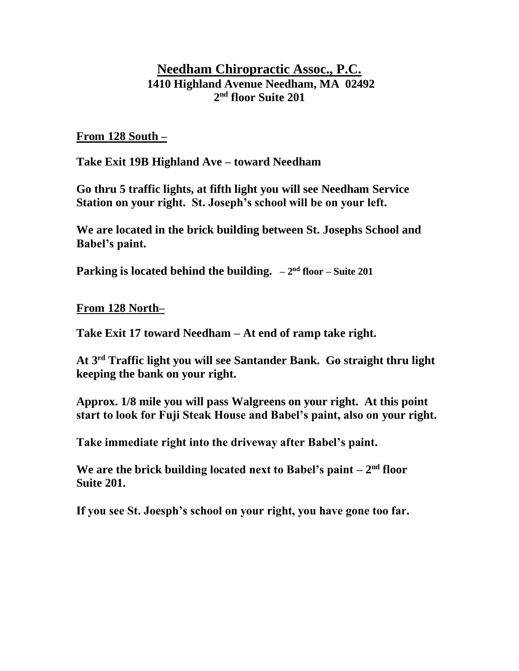## **Needham Chiropractic Assoc., P.C. 1410 Highland Avenue Needham, MA 02492 2 nd floor Suite 201**

**From 128 South –**

**Take Exit 19B Highland Ave – toward Needham**

**Go thru 5 traffic lights, at fifth light you will see Needham Service Station on your right. St. Joseph's school will be on your left.**

**We are located in the brick building between St. Josephs School and Babel's paint.**

**Parking is located behind the building.**  $-2^{nd}$  floor – Suite 201

**From 128 North–**

**Take Exit 17 toward Needham – At end of ramp take right.**

**At 3rd Traffic light you will see Santander Bank. Go straight thru light keeping the bank on your right.**

**Approx. 1/8 mile you will pass Walgreens on your right. At this point start to look for Fuji Steak House and Babel's paint, also on your right.**

**Take immediate right into the driveway after Babel's paint.** 

We are the brick building located next to Babel's paint – 2<sup>nd</sup> floor **Suite 201.**

**If you see St. Joesph's school on your right, you have gone too far.**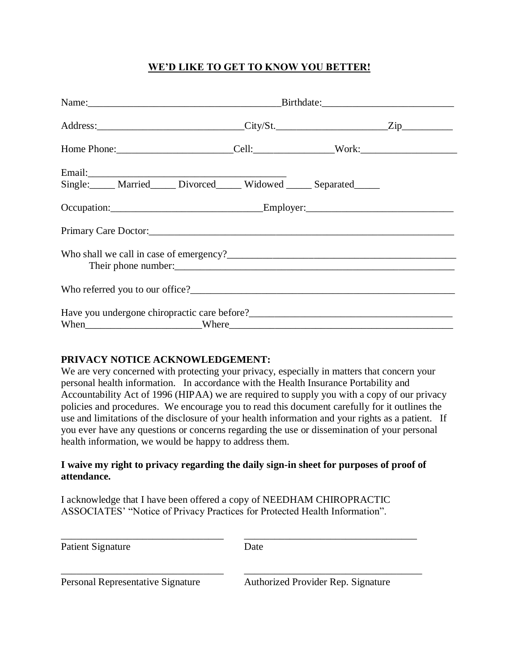## **WE'D LIKE TO GET TO KNOW YOU BETTER!**

| Single: Married Divorced Widowed Separated                                                                                                                                            |  |  |  |  |
|---------------------------------------------------------------------------------------------------------------------------------------------------------------------------------------|--|--|--|--|
|                                                                                                                                                                                       |  |  |  |  |
|                                                                                                                                                                                       |  |  |  |  |
|                                                                                                                                                                                       |  |  |  |  |
|                                                                                                                                                                                       |  |  |  |  |
|                                                                                                                                                                                       |  |  |  |  |
| When Where Where Where <b>Where</b> Where <b>Where Where When Where When When When When When When When When When When When When When When When When When When When When When When</b> |  |  |  |  |

#### **PRIVACY NOTICE ACKNOWLEDGEMENT:**

We are very concerned with protecting your privacy, especially in matters that concern your personal health information. In accordance with the Health Insurance Portability and Accountability Act of 1996 (HIPAA) we are required to supply you with a copy of our privacy policies and procedures. We encourage you to read this document carefully for it outlines the use and limitations of the disclosure of your health information and your rights as a patient. If you ever have any questions or concerns regarding the use or dissemination of your personal health information, we would be happy to address them.

#### **I waive my right to privacy regarding the daily sign-in sheet for purposes of proof of attendance.**

I acknowledge that I have been offered a copy of NEEDHAM CHIROPRACTIC ASSOCIATES' "Notice of Privacy Practices for Protected Health Information".

| Patient Signature                        | Date                               |  |
|------------------------------------------|------------------------------------|--|
| <b>Personal Representative Signature</b> | Authorized Provider Rep. Signature |  |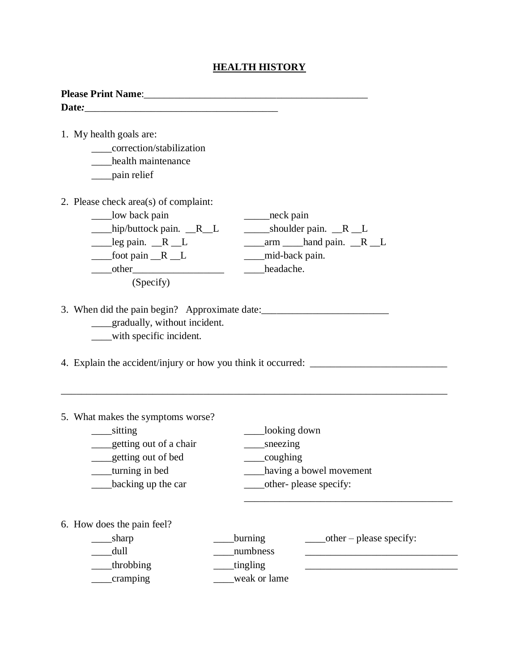## **HEALTH HISTORY**

| coughing<br>having a bowel movement |  |
|-------------------------------------|--|
|                                     |  |
|                                     |  |
|                                     |  |
|                                     |  |
|                                     |  |
|                                     |  |
| $other - please specify:$           |  |
|                                     |  |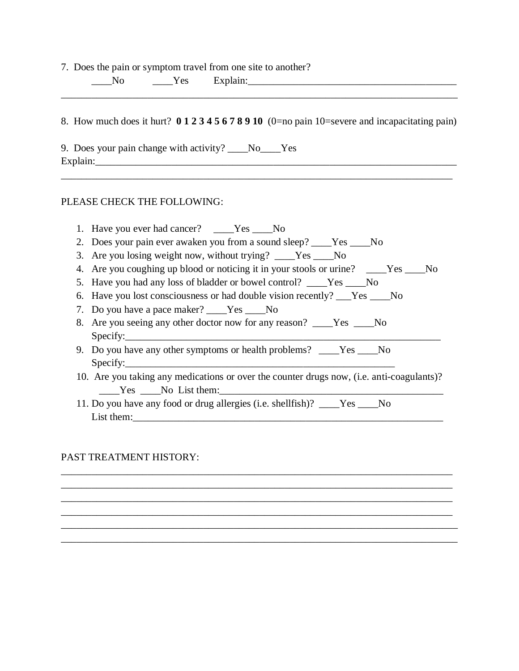7. Does the pain or symptom travel from one site to another?

| - |  |
|---|--|
|   |  |

8. How much does it hurt? **0 1 2 3 4 5 6 7 8 9 10** (0=no pain 10=severe and incapacitating pain)

\_\_\_\_\_\_\_\_\_\_\_\_\_\_\_\_\_\_\_\_\_\_\_\_\_\_\_\_\_\_\_\_\_\_\_\_\_\_\_\_\_\_\_\_\_\_\_\_\_\_\_\_\_\_\_\_\_\_\_\_\_\_\_\_\_\_\_\_\_\_\_\_\_\_\_\_\_

\_\_\_\_\_\_\_\_\_\_\_\_\_\_\_\_\_\_\_\_\_\_\_\_\_\_\_\_\_\_\_\_\_\_\_\_\_\_\_\_\_\_\_\_\_\_\_\_\_\_\_\_\_\_\_\_\_\_\_\_\_\_\_\_\_\_\_\_\_\_\_\_\_\_\_\_\_\_

9. Does your pain change with activity? \_\_\_\_No\_\_\_\_Yes Explain:\_\_\_\_\_\_\_\_\_\_\_\_\_\_\_\_\_\_\_\_\_\_\_\_\_\_\_\_\_\_\_\_\_\_\_\_\_\_\_\_\_\_\_\_\_\_\_\_\_\_\_\_\_\_\_\_\_\_\_\_\_\_\_\_\_\_\_\_\_\_\_

#### PLEASE CHECK THE FOLLOWING:

- 1. Have you ever had cancer? Yes No 2. Does your pain ever awaken you from a sound sleep? \_\_\_\_Yes \_\_\_\_No
- 3. Are you losing weight now, without trying? \_\_\_\_Yes \_\_\_\_No
- 4. Are you coughing up blood or noticing it in your stools or urine? \_\_\_\_\_Yes \_\_\_\_No
- 5. Have you had any loss of bladder or bowel control? Yes No
- 6. Have you lost consciousness or had double vision recently? \_\_\_Yes \_\_\_\_No
- 7. Do you have a pace maker? \_\_\_\_Yes \_\_\_\_No
- 8. Are you seeing any other doctor now for any reason? \_\_\_\_Yes \_\_\_\_No  $Specify:$
- 9. Do you have any other symptoms or health problems? \_\_\_\_Yes \_\_\_\_\_No  $Specify:$
- 10. Are you taking any medications or over the counter drugs now, (i.e. anti-coagulants)? Yes No List them:

\_\_\_\_\_\_\_\_\_\_\_\_\_\_\_\_\_\_\_\_\_\_\_\_\_\_\_\_\_\_\_\_\_\_\_\_\_\_\_\_\_\_\_\_\_\_\_\_\_\_\_\_\_\_\_\_\_\_\_\_\_\_\_\_\_\_\_\_\_\_\_\_\_\_\_\_\_ \_\_\_\_\_\_\_\_\_\_\_\_\_\_\_\_\_\_\_\_\_\_\_\_\_\_\_\_\_\_\_\_\_\_\_\_\_\_\_\_\_\_\_\_\_\_\_\_\_\_\_\_\_\_\_\_\_\_\_\_\_\_\_\_\_\_\_\_\_\_\_\_\_\_\_\_\_ \_\_\_\_\_\_\_\_\_\_\_\_\_\_\_\_\_\_\_\_\_\_\_\_\_\_\_\_\_\_\_\_\_\_\_\_\_\_\_\_\_\_\_\_\_\_\_\_\_\_\_\_\_\_\_\_\_\_\_\_\_\_\_\_\_\_\_\_\_\_\_\_\_\_\_\_\_ \_\_\_\_\_\_\_\_\_\_\_\_\_\_\_\_\_\_\_\_\_\_\_\_\_\_\_\_\_\_\_\_\_\_\_\_\_\_\_\_\_\_\_\_\_\_\_\_\_\_\_\_\_\_\_\_\_\_\_\_\_\_\_\_\_\_\_\_\_\_\_\_\_\_\_\_\_ \_\_\_\_\_\_\_\_\_\_\_\_\_\_\_\_\_\_\_\_\_\_\_\_\_\_\_\_\_\_\_\_\_\_\_\_\_\_\_\_\_\_\_\_\_\_\_\_\_\_\_\_\_\_\_\_\_\_\_\_\_\_\_\_\_\_\_\_\_\_\_\_\_\_\_\_\_\_ \_\_\_\_\_\_\_\_\_\_\_\_\_\_\_\_\_\_\_\_\_\_\_\_\_\_\_\_\_\_\_\_\_\_\_\_\_\_\_\_\_\_\_\_\_\_\_\_\_\_\_\_\_\_\_\_\_\_\_\_\_\_\_\_\_\_\_\_\_\_\_\_\_\_\_\_\_\_

11. Do you have any food or drug allergies (i.e. shellfish)? \_\_\_\_Yes \_\_\_\_No List them:

#### PAST TREATMENT HISTORY: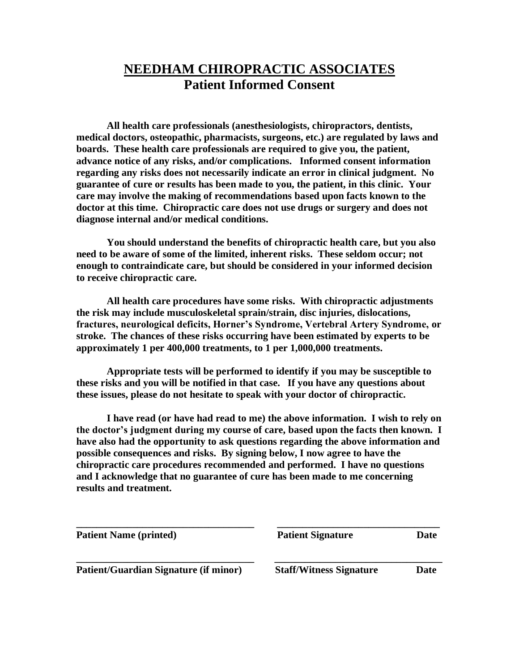# **NEEDHAM CHIROPRACTIC ASSOCIATES Patient Informed Consent**

**All health care professionals (anesthesiologists, chiropractors, dentists, medical doctors, osteopathic, pharmacists, surgeons, etc.) are regulated by laws and boards. These health care professionals are required to give you, the patient, advance notice of any risks, and/or complications. Informed consent information regarding any risks does not necessarily indicate an error in clinical judgment. No guarantee of cure or results has been made to you, the patient, in this clinic. Your care may involve the making of recommendations based upon facts known to the doctor at this time. Chiropractic care does not use drugs or surgery and does not diagnose internal and/or medical conditions.**

**You should understand the benefits of chiropractic health care, but you also need to be aware of some of the limited, inherent risks. These seldom occur; not enough to contraindicate care, but should be considered in your informed decision to receive chiropractic care.** 

**All health care procedures have some risks. With chiropractic adjustments the risk may include musculoskeletal sprain/strain, disc injuries, dislocations, fractures, neurological deficits, Horner's Syndrome, Vertebral Artery Syndrome, or stroke. The chances of these risks occurring have been estimated by experts to be approximately 1 per 400,000 treatments, to 1 per 1,000,000 treatments.** 

**Appropriate tests will be performed to identify if you may be susceptible to these risks and you will be notified in that case. If you have any questions about these issues, please do not hesitate to speak with your doctor of chiropractic.**

**I have read (or have had read to me) the above information. I wish to rely on the doctor's judgment during my course of care, based upon the facts then known. I have also had the opportunity to ask questions regarding the above information and possible consequences and risks. By signing below, I now agree to have the chiropractic care procedures recommended and performed. I have no questions and I acknowledge that no guarantee of cure has been made to me concerning results and treatment.**

| <b>Patient Name (printed)</b>                | <b>Patient Signature</b>       | Date |
|----------------------------------------------|--------------------------------|------|
| <b>Patient/Guardian Signature (if minor)</b> | <b>Staff/Witness Signature</b> | Date |